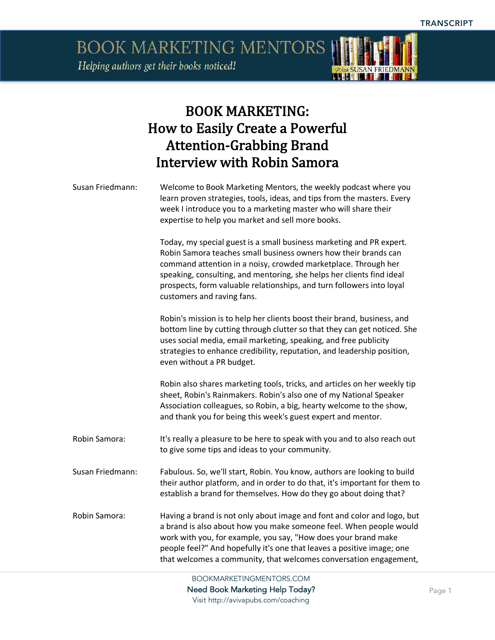BOOK MARKETING MENTORS Helping authors get their books noticed!



#### BOOK MARKETING: How to Easily Create a Powerful **Attention-Grabbing Brand** Interview with Robin Samora

| Susan Friedmann: | Welcome to Book Marketing Mentors, the weekly podcast where you<br>learn proven strategies, tools, ideas, and tips from the masters. Every<br>week I introduce you to a marketing master who will share their<br>expertise to help you market and sell more books.                                                                                                                        |
|------------------|-------------------------------------------------------------------------------------------------------------------------------------------------------------------------------------------------------------------------------------------------------------------------------------------------------------------------------------------------------------------------------------------|
|                  | Today, my special guest is a small business marketing and PR expert.<br>Robin Samora teaches small business owners how their brands can<br>command attention in a noisy, crowded marketplace. Through her<br>speaking, consulting, and mentoring, she helps her clients find ideal<br>prospects, form valuable relationships, and turn followers into loyal<br>customers and raving fans. |
|                  | Robin's mission is to help her clients boost their brand, business, and<br>bottom line by cutting through clutter so that they can get noticed. She<br>uses social media, email marketing, speaking, and free publicity<br>strategies to enhance credibility, reputation, and leadership position,<br>even without a PR budget.                                                           |
|                  | Robin also shares marketing tools, tricks, and articles on her weekly tip<br>sheet, Robin's Rainmakers. Robin's also one of my National Speaker<br>Association colleagues, so Robin, a big, hearty welcome to the show,<br>and thank you for being this week's guest expert and mentor.                                                                                                   |
| Robin Samora:    | It's really a pleasure to be here to speak with you and to also reach out<br>to give some tips and ideas to your community.                                                                                                                                                                                                                                                               |
| Susan Friedmann: | Fabulous. So, we'll start, Robin. You know, authors are looking to build<br>their author platform, and in order to do that, it's important for them to<br>establish a brand for themselves. How do they go about doing that?                                                                                                                                                              |
| Robin Samora:    | Having a brand is not only about image and font and color and logo, but<br>a brand is also about how you make someone feel. When people would<br>work with you, for example, you say, "How does your brand make<br>people feel?" And hopefully it's one that leaves a positive image; one<br>that welcomes a community, that welcomes conversation engagement,                            |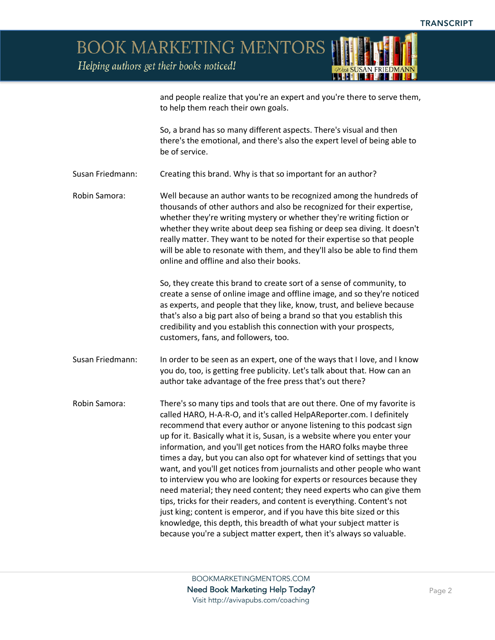Helping authors get their books noticed!



and people realize that you're an expert and you're there to serve them, to help them reach their own goals.

So, a brand has so many different aspects. There's visual and then there's the emotional, and there's also the expert level of being able to be of service.

- Susan Friedmann: Creating this brand. Why is that so important for an author?
- Robin Samora: Well because an author wants to be recognized among the hundreds of thousands of other authors and also be recognized for their expertise, whether they're writing mystery or whether they're writing fiction or whether they write about deep sea fishing or deep sea diving. It doesn't really matter. They want to be noted for their expertise so that people will be able to resonate with them, and they'll also be able to find them online and offline and also their books.

So, they create this brand to create sort of a sense of community, to create a sense of online image and offline image, and so they're noticed as experts, and people that they like, know, trust, and believe because that's also a big part also of being a brand so that you establish this credibility and you establish this connection with your prospects, customers, fans, and followers, too.

- Susan Friedmann: In order to be seen as an expert, one of the ways that I love, and I know you do, too, is getting free publicity. Let's talk about that. How can an author take advantage of the free press that's out there?
- Robin Samora: There's so many tips and tools that are out there. One of my favorite is called HARO, H-A-R-O, and it's called HelpAReporter.com. I definitely recommend that every author or anyone listening to this podcast sign up for it. Basically what it is, Susan, is a website where you enter your information, and you'll get notices from the HARO folks maybe three times a day, but you can also opt for whatever kind of settings that you want, and you'll get notices from journalists and other people who want to interview you who are looking for experts or resources because they need material; they need content; they need experts who can give them tips, tricks for their readers, and content is everything. Content's not just king; content is emperor, and if you have this bite sized or this knowledge, this depth, this breadth of what your subject matter is because you're a subject matter expert, then it's always so valuable.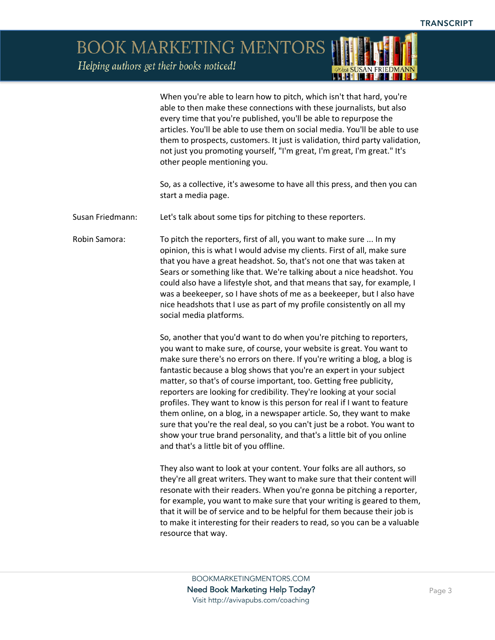Helping authors get their books noticed!

When you're able to learn how to pitch, which isn't that hard, you're able to then make these connections with these journalists, but also every time that you're published, you'll be able to repurpose the articles. You'll be able to use them on social media. You'll be able to use them to prospects, customers. It just is validation, third party validation, not just you promoting yourself, "I'm great, I'm great, I'm great." It's other people mentioning you.

So, as a collective, it's awesome to have all this press, and then you can start a media page.

Susan Friedmann: Let's talk about some tips for pitching to these reporters.

Robin Samora: To pitch the reporters, first of all, you want to make sure ... In my opinion, this is what I would advise my clients. First of all, make sure that you have a great headshot. So, that's not one that was taken at Sears or something like that. We're talking about a nice headshot. You could also have a lifestyle shot, and that means that say, for example, I was a beekeeper, so I have shots of me as a beekeeper, but I also have nice headshots that I use as part of my profile consistently on all my social media platforms.

> So, another that you'd want to do when you're pitching to reporters, you want to make sure, of course, your website is great. You want to make sure there's no errors on there. If you're writing a blog, a blog is fantastic because a blog shows that you're an expert in your subject matter, so that's of course important, too. Getting free publicity, reporters are looking for credibility. They're looking at your social profiles. They want to know is this person for real if I want to feature them online, on a blog, in a newspaper article. So, they want to make sure that you're the real deal, so you can't just be a robot. You want to show your true brand personality, and that's a little bit of you online and that's a little bit of you offline.

They also want to look at your content. Your folks are all authors, so they're all great writers. They want to make sure that their content will resonate with their readers. When you're gonna be pitching a reporter, for example, you want to make sure that your writing is geared to them, that it will be of service and to be helpful for them because their job is to make it interesting for their readers to read, so you can be a valuable resource that way.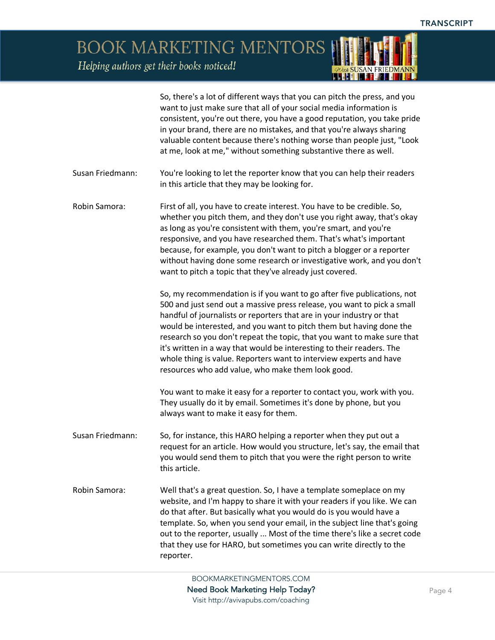*ADrew* SUSAN FRIEDMANN

BOOK MARKETING MENTORS

Helping authors get their books noticed!

|                  | So, there's a lot of different ways that you can pitch the press, and you<br>want to just make sure that all of your social media information is<br>consistent, you're out there, you have a good reputation, you take pride<br>in your brand, there are no mistakes, and that you're always sharing<br>valuable content because there's nothing worse than people just, "Look<br>at me, look at me," without something substantive there as well.                                                                                                                                |
|------------------|-----------------------------------------------------------------------------------------------------------------------------------------------------------------------------------------------------------------------------------------------------------------------------------------------------------------------------------------------------------------------------------------------------------------------------------------------------------------------------------------------------------------------------------------------------------------------------------|
| Susan Friedmann: | You're looking to let the reporter know that you can help their readers<br>in this article that they may be looking for.                                                                                                                                                                                                                                                                                                                                                                                                                                                          |
| Robin Samora:    | First of all, you have to create interest. You have to be credible. So,<br>whether you pitch them, and they don't use you right away, that's okay<br>as long as you're consistent with them, you're smart, and you're<br>responsive, and you have researched them. That's what's important<br>because, for example, you don't want to pitch a blogger or a reporter<br>without having done some research or investigative work, and you don't<br>want to pitch a topic that they've already just covered.                                                                         |
|                  | So, my recommendation is if you want to go after five publications, not<br>500 and just send out a massive press release, you want to pick a small<br>handful of journalists or reporters that are in your industry or that<br>would be interested, and you want to pitch them but having done the<br>research so you don't repeat the topic, that you want to make sure that<br>it's written in a way that would be interesting to their readers. The<br>whole thing is value. Reporters want to interview experts and have<br>resources who add value, who make them look good. |
|                  | You want to make it easy for a reporter to contact you, work with you.<br>They usually do it by email. Sometimes it's done by phone, but you<br>always want to make it easy for them.                                                                                                                                                                                                                                                                                                                                                                                             |
| Susan Friedmann: | So, for instance, this HARO helping a reporter when they put out a<br>request for an article. How would you structure, let's say, the email that<br>you would send them to pitch that you were the right person to write<br>this article.                                                                                                                                                                                                                                                                                                                                         |
| Robin Samora:    | Well that's a great question. So, I have a template someplace on my<br>website, and I'm happy to share it with your readers if you like. We can<br>do that after. But basically what you would do is you would have a<br>template. So, when you send your email, in the subject line that's going<br>out to the reporter, usually  Most of the time there's like a secret code<br>that they use for HARO, but sometimes you can write directly to the<br>reporter.                                                                                                                |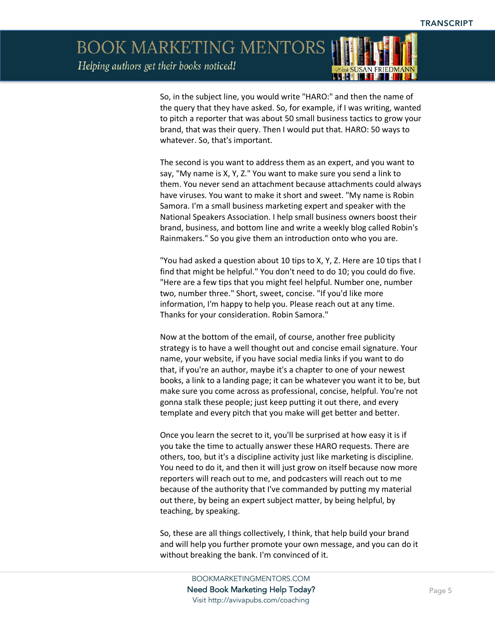Helping authors get their books noticed!



So, in the subject line, you would write "HARO:" and then the name of the query that they have asked. So, for example, if I was writing, wanted to pitch a reporter that was about 50 small business tactics to grow your brand, that was their query. Then I would put that. HARO: 50 ways to whatever. So, that's important.

The second is you want to address them as an expert, and you want to say, "My name is X, Y, Z." You want to make sure you send a link to them. You never send an attachment because attachments could always have viruses. You want to make it short and sweet. "My name is Robin Samora. I'm a small business marketing expert and speaker with the National Speakers Association. I help small business owners boost their brand, business, and bottom line and write a weekly blog called Robin's Rainmakers." So you give them an introduction onto who you are.

"You had asked a question about 10 tips to X, Y, Z. Here are 10 tips that I find that might be helpful." You don't need to do 10; you could do five. "Here are a few tips that you might feel helpful. Number one, number two, number three." Short, sweet, concise. "If you'd like more information, I'm happy to help you. Please reach out at any time. Thanks for your consideration. Robin Samora."

Now at the bottom of the email, of course, another free publicity strategy is to have a well thought out and concise email signature. Your name, your website, if you have social media links if you want to do that, if you're an author, maybe it's a chapter to one of your newest books, a link to a landing page; it can be whatever you want it to be, but make sure you come across as professional, concise, helpful. You're not gonna stalk these people; just keep putting it out there, and every template and every pitch that you make will get better and better.

Once you learn the secret to it, you'll be surprised at how easy it is if you take the time to actually answer these HARO requests. There are others, too, but it's a discipline activity just like marketing is discipline. You need to do it, and then it will just grow on itself because now more reporters will reach out to me, and podcasters will reach out to me because of the authority that I've commanded by putting my material out there, by being an expert subject matter, by being helpful, by teaching, by speaking.

So, these are all things collectively, I think, that help build your brand and will help you further promote your own message, and you can do it without breaking the bank. I'm convinced of it.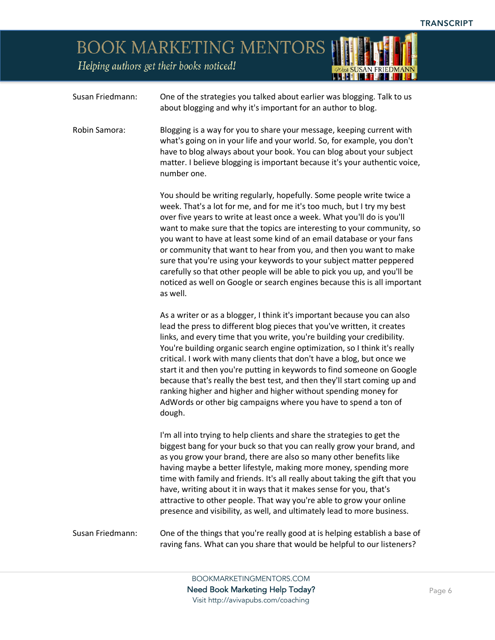Helping authors get their books noticed!

| Wath SUSAN FRIEDMANN |  |
|----------------------|--|
|                      |  |

| Susan Friedmann: | One of the strategies you talked about earlier was blogging. Talk to us<br>about blogging and why it's important for an author to blog.                                                                                                                                                                                                                                                                                                                                                                                                                                                                                                                                                            |
|------------------|----------------------------------------------------------------------------------------------------------------------------------------------------------------------------------------------------------------------------------------------------------------------------------------------------------------------------------------------------------------------------------------------------------------------------------------------------------------------------------------------------------------------------------------------------------------------------------------------------------------------------------------------------------------------------------------------------|
| Robin Samora:    | Blogging is a way for you to share your message, keeping current with<br>what's going on in your life and your world. So, for example, you don't<br>have to blog always about your book. You can blog about your subject<br>matter. I believe blogging is important because it's your authentic voice,<br>number one.                                                                                                                                                                                                                                                                                                                                                                              |
|                  | You should be writing regularly, hopefully. Some people write twice a<br>week. That's a lot for me, and for me it's too much, but I try my best<br>over five years to write at least once a week. What you'll do is you'll<br>want to make sure that the topics are interesting to your community, so<br>you want to have at least some kind of an email database or your fans<br>or community that want to hear from you, and then you want to make<br>sure that you're using your keywords to your subject matter peppered<br>carefully so that other people will be able to pick you up, and you'll be<br>noticed as well on Google or search engines because this is all important<br>as well. |
|                  | As a writer or as a blogger, I think it's important because you can also<br>lead the press to different blog pieces that you've written, it creates<br>links, and every time that you write, you're building your credibility.<br>You're building organic search engine optimization, so I think it's really<br>critical. I work with many clients that don't have a blog, but once we<br>start it and then you're putting in keywords to find someone on Google<br>because that's really the best test, and then they'll start coming up and<br>ranking higher and higher and higher without spending money for<br>AdWords or other big campaigns where you have to spend a ton of<br>dough.      |
|                  | I'm all into trying to help clients and share the strategies to get the<br>biggest bang for your buck so that you can really grow your brand, and<br>as you grow your brand, there are also so many other benefits like<br>having maybe a better lifestyle, making more money, spending more<br>time with family and friends. It's all really about taking the gift that you<br>have, writing about it in ways that it makes sense for you, that's<br>attractive to other people. That way you're able to grow your online<br>presence and visibility, as well, and ultimately lead to more business.                                                                                              |
| Susan Friedmann: | One of the things that you're really good at is helping establish a base of<br>raving fans. What can you share that would be helpful to our listeners?                                                                                                                                                                                                                                                                                                                                                                                                                                                                                                                                             |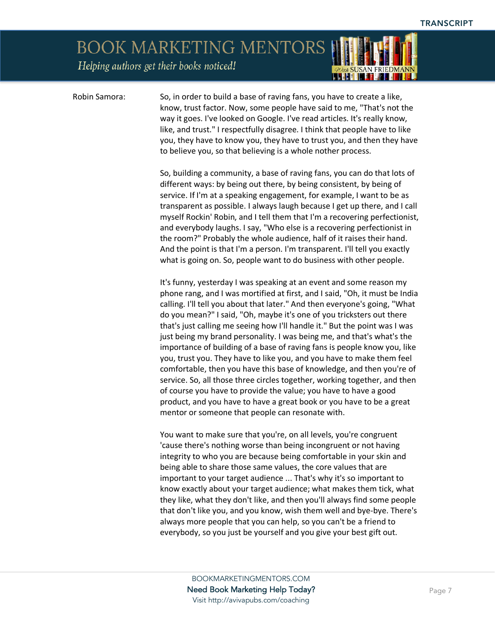Helping authors get their books noticed!



Robin Samora: So, in order to build a base of raving fans, you have to create a like, know, trust factor. Now, some people have said to me, "That's not the way it goes. I've looked on Google. I've read articles. It's really know, like, and trust." I respectfully disagree. I think that people have to like you, they have to know you, they have to trust you, and then they have to believe you, so that believing is a whole nother process.

> So, building a community, a base of raving fans, you can do that lots of different ways: by being out there, by being consistent, by being of service. If I'm at a speaking engagement, for example, I want to be as transparent as possible. I always laugh because I get up there, and I call myself Rockin' Robin, and I tell them that I'm a recovering perfectionist, and everybody laughs. I say, "Who else is a recovering perfectionist in the room?" Probably the whole audience, half of it raises their hand. And the point is that I'm a person. I'm transparent. I'll tell you exactly what is going on. So, people want to do business with other people.

> It's funny, yesterday I was speaking at an event and some reason my phone rang, and I was mortified at first, and I said, "Oh, it must be India calling. I'll tell you about that later." And then everyone's going, "What do you mean?" I said, "Oh, maybe it's one of you tricksters out there that's just calling me seeing how I'll handle it." But the point was I was just being my brand personality. I was being me, and that's what's the importance of building of a base of raving fans is people know you, like you, trust you. They have to like you, and you have to make them feel comfortable, then you have this base of knowledge, and then you're of service. So, all those three circles together, working together, and then of course you have to provide the value; you have to have a good product, and you have to have a great book or you have to be a great mentor or someone that people can resonate with.

> You want to make sure that you're, on all levels, you're congruent 'cause there's nothing worse than being incongruent or not having integrity to who you are because being comfortable in your skin and being able to share those same values, the core values that are important to your target audience ... That's why it's so important to know exactly about your target audience; what makes them tick, what they like, what they don't like, and then you'll always find some people that don't like you, and you know, wish them well and bye-bye. There's always more people that you can help, so you can't be a friend to everybody, so you just be yourself and you give your best gift out.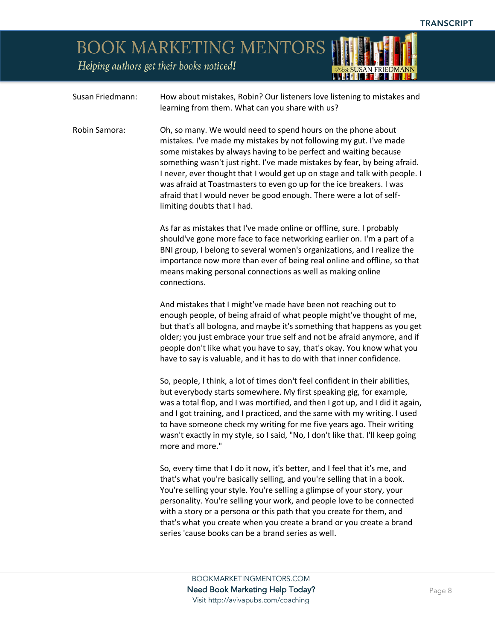Helping authors get their books noticed!



| Susan Friedmann: | How about mistakes, Robin? Our listeners love listening to mistakes and<br>learning from them. What can you share with us?                                                                                                                                                                                                                                                                                                                                                                                                                      |
|------------------|-------------------------------------------------------------------------------------------------------------------------------------------------------------------------------------------------------------------------------------------------------------------------------------------------------------------------------------------------------------------------------------------------------------------------------------------------------------------------------------------------------------------------------------------------|
| Robin Samora:    | Oh, so many. We would need to spend hours on the phone about<br>mistakes. I've made my mistakes by not following my gut. I've made<br>some mistakes by always having to be perfect and waiting because<br>something wasn't just right. I've made mistakes by fear, by being afraid.<br>I never, ever thought that I would get up on stage and talk with people. I<br>was afraid at Toastmasters to even go up for the ice breakers. I was<br>afraid that I would never be good enough. There were a lot of self-<br>limiting doubts that I had. |
|                  | As far as mistakes that I've made online or offline, sure. I probably<br>should've gone more face to face networking earlier on. I'm a part of a<br>BNI group, I belong to several women's organizations, and I realize the<br>importance now more than ever of being real online and offline, so that<br>means making personal connections as well as making online<br>connections.                                                                                                                                                            |
|                  | And mistakes that I might've made have been not reaching out to<br>enough people, of being afraid of what people might've thought of me,<br>but that's all bologna, and maybe it's something that happens as you get<br>older; you just embrace your true self and not be afraid anymore, and if<br>people don't like what you have to say, that's okay. You know what you<br>have to say is valuable, and it has to do with that inner confidence.                                                                                             |
|                  | So, people, I think, a lot of times don't feel confident in their abilities,<br>but everybody starts somewhere. My first speaking gig, for example,<br>was a total flop, and I was mortified, and then I got up, and I did it again,<br>and I got training, and I practiced, and the same with my writing. I used<br>to have someone check my writing for me five years ago. Their writing<br>wasn't exactly in my style, so I said, "No, I don't like that. I'll keep going<br>more and more."                                                 |
|                  | So, every time that I do it now, it's better, and I feel that it's me, and<br>that's what you're basically selling, and you're selling that in a book.<br>You're selling your style. You're selling a glimpse of your story, your<br>personality. You're selling your work, and people love to be connected<br>with a story or a persona or this path that you create for them, and<br>that's what you create when you create a brand or you create a brand<br>series 'cause books can be a brand series as well.                               |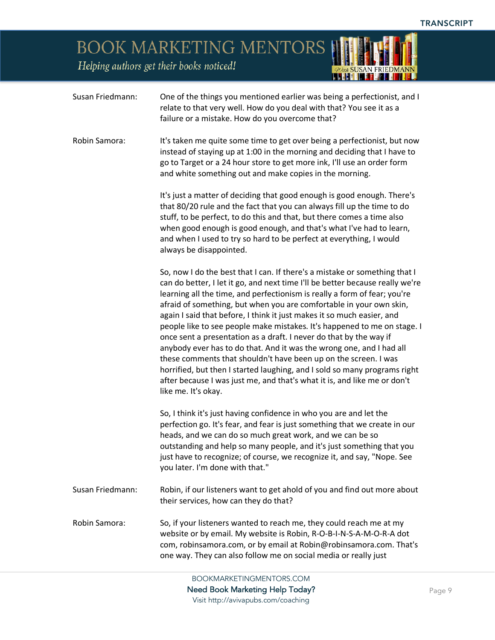*POut SUSAN FRIEDMANN* 

BOOK MARKETING MENTORS

Helping authors get their books noticed!

| Susan Friedmann: | One of the things you mentioned earlier was being a perfectionist, and I<br>relate to that very well. How do you deal with that? You see it as a<br>failure or a mistake. How do you overcome that?                                                                                                                                                                                                                                                                                                                                                                                                                                                                                                                                                                                                                                                                    |
|------------------|------------------------------------------------------------------------------------------------------------------------------------------------------------------------------------------------------------------------------------------------------------------------------------------------------------------------------------------------------------------------------------------------------------------------------------------------------------------------------------------------------------------------------------------------------------------------------------------------------------------------------------------------------------------------------------------------------------------------------------------------------------------------------------------------------------------------------------------------------------------------|
| Robin Samora:    | It's taken me quite some time to get over being a perfectionist, but now<br>instead of staying up at 1:00 in the morning and deciding that I have to<br>go to Target or a 24 hour store to get more ink, I'll use an order form<br>and white something out and make copies in the morning.                                                                                                                                                                                                                                                                                                                                                                                                                                                                                                                                                                             |
|                  | It's just a matter of deciding that good enough is good enough. There's<br>that 80/20 rule and the fact that you can always fill up the time to do<br>stuff, to be perfect, to do this and that, but there comes a time also<br>when good enough is good enough, and that's what I've had to learn,<br>and when I used to try so hard to be perfect at everything, I would<br>always be disappointed.                                                                                                                                                                                                                                                                                                                                                                                                                                                                  |
|                  | So, now I do the best that I can. If there's a mistake or something that I<br>can do better, I let it go, and next time I'll be better because really we're<br>learning all the time, and perfectionism is really a form of fear; you're<br>afraid of something, but when you are comfortable in your own skin,<br>again I said that before, I think it just makes it so much easier, and<br>people like to see people make mistakes. It's happened to me on stage. I<br>once sent a presentation as a draft. I never do that by the way if<br>anybody ever has to do that. And it was the wrong one, and I had all<br>these comments that shouldn't have been up on the screen. I was<br>horrified, but then I started laughing, and I sold so many programs right<br>after because I was just me, and that's what it is, and like me or don't<br>like me. It's okay. |
|                  | So, I think it's just having confidence in who you are and let the<br>perfection go. It's fear, and fear is just something that we create in our<br>heads, and we can do so much great work, and we can be so<br>outstanding and help so many people, and it's just something that you<br>just have to recognize; of course, we recognize it, and say, "Nope. See<br>you later. I'm done with that."                                                                                                                                                                                                                                                                                                                                                                                                                                                                   |
| Susan Friedmann: | Robin, if our listeners want to get ahold of you and find out more about<br>their services, how can they do that?                                                                                                                                                                                                                                                                                                                                                                                                                                                                                                                                                                                                                                                                                                                                                      |
| Robin Samora:    | So, if your listeners wanted to reach me, they could reach me at my<br>website or by email. My website is Robin, R-O-B-I-N-S-A-M-O-R-A dot<br>com, robinsamora.com, or by email at Robin@robinsamora.com. That's<br>one way. They can also follow me on social media or really just                                                                                                                                                                                                                                                                                                                                                                                                                                                                                                                                                                                    |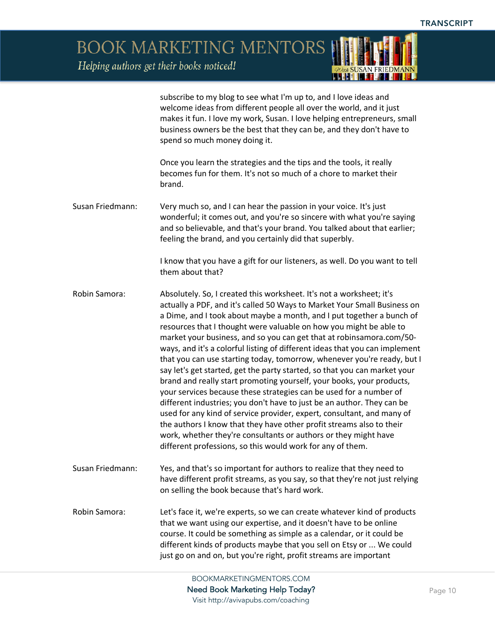Helping authors get their books noticed!



subscribe to my blog to see what I'm up to, and I love ideas and welcome ideas from different people all over the world, and it just makes it fun. I love my work, Susan. I love helping entrepreneurs, small business owners be the best that they can be, and they don't have to spend so much money doing it.

Once you learn the strategies and the tips and the tools, it really becomes fun for them. It's not so much of a chore to market their brand.

Susan Friedmann: Very much so, and I can hear the passion in your voice. It's just wonderful; it comes out, and you're so sincere with what you're saying and so believable, and that's your brand. You talked about that earlier; feeling the brand, and you certainly did that superbly.

> I know that you have a gift for our listeners, as well. Do you want to tell them about that?

Robin Samora: Absolutely. So, I created this worksheet. It's not a worksheet; it's actually a PDF, and it's called 50 Ways to Market Your Small Business on a Dime, and I took about maybe a month, and I put together a bunch of resources that I thought were valuable on how you might be able to market your business, and so you can get that at robinsamora.com/50 ways, and it's a colorful listing of different ideas that you can implement that you can use starting today, tomorrow, whenever you're ready, but I say let's get started, get the party started, so that you can market your brand and really start promoting yourself, your books, your products, your services because these strategies can be used for a number of different industries; you don't have to just be an author. They can be used for any kind of service provider, expert, consultant, and many of the authors I know that they have other profit streams also to their work, whether they're consultants or authors or they might have different professions, so this would work for any of them.

Susan Friedmann: Yes, and that's so important for authors to realize that they need to have different profit streams, as you say, so that they're not just relying on selling the book because that's hard work.

Robin Samora: Let's face it, we're experts, so we can create whatever kind of products that we want using our expertise, and it doesn't have to be online course. It could be something as simple as a calendar, or it could be different kinds of products maybe that you sell on Etsy or ... We could just go on and on, but you're right, profit streams are important